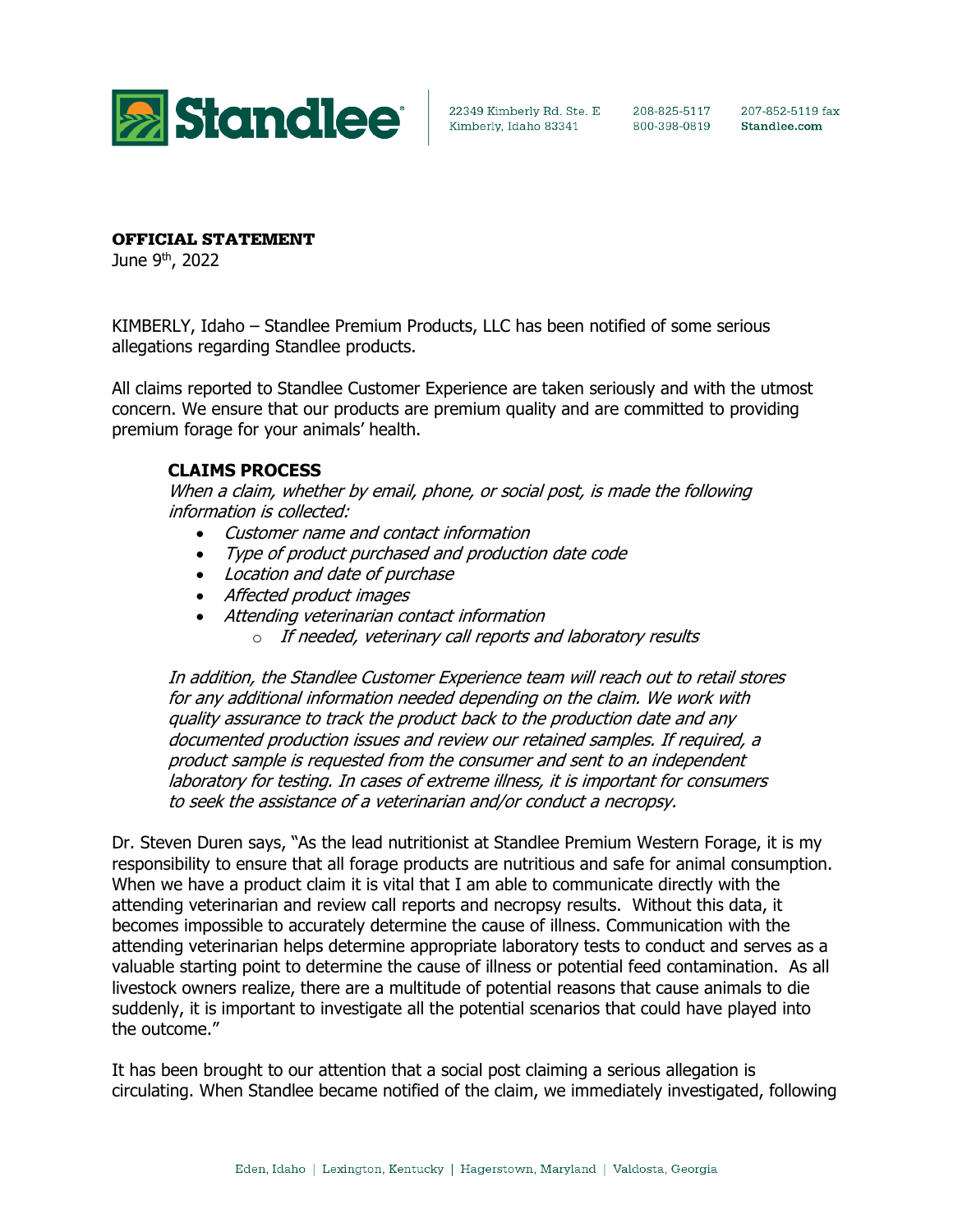

207-852-5119 fax Standlee.com

## OFFICIAL STATEMENT

June 9<sup>th</sup>, 2022

KIMBERLY, Idaho – Standlee Premium Products, LLC has been notified of some serious allegations regarding Standlee products.

All claims reported to Standlee Customer Experience are taken seriously and with the utmost concern. We ensure that our products are premium quality and are committed to providing premium forage for your animals' health.

## **CLAIMS PROCESS**

When a claim, whether by email, phone, or social post, is made the following information is collected:

- Customer name and contact information
- Type of product purchased and production date code
- Location and date of purchase
- Affected product images
- Attending veterinarian contact information
	- o If needed, veterinary call reports and laboratory results

In addition, the Standlee Customer Experience team will reach out to retail stores for any additional information needed depending on the claim. We work with quality assurance to track the product back to the production date and any documented production issues and review our retained samples. If required, a product sample is requested from the consumer and sent to an independent laboratory for testing. In cases of extreme illness, it is important for consumers to seek the assistance of a veterinarian and/or conduct a necropsy.

Dr. Steven Duren says, "As the lead nutritionist at Standlee Premium Western Forage, it is my responsibility to ensure that all forage products are nutritious and safe for animal consumption. When we have a product claim it is vital that I am able to communicate directly with the attending veterinarian and review call reports and necropsy results. Without this data, it becomes impossible to accurately determine the cause of illness. Communication with the attending veterinarian helps determine appropriate laboratory tests to conduct and serves as a valuable starting point to determine the cause of illness or potential feed contamination. As all livestock owners realize, there are a multitude of potential reasons that cause animals to die suddenly, it is important to investigate all the potential scenarios that could have played into the outcome."

It has been brought to our attention that a social post claiming a serious allegation is circulating. When Standlee became notified of the claim, we immediately investigated, following